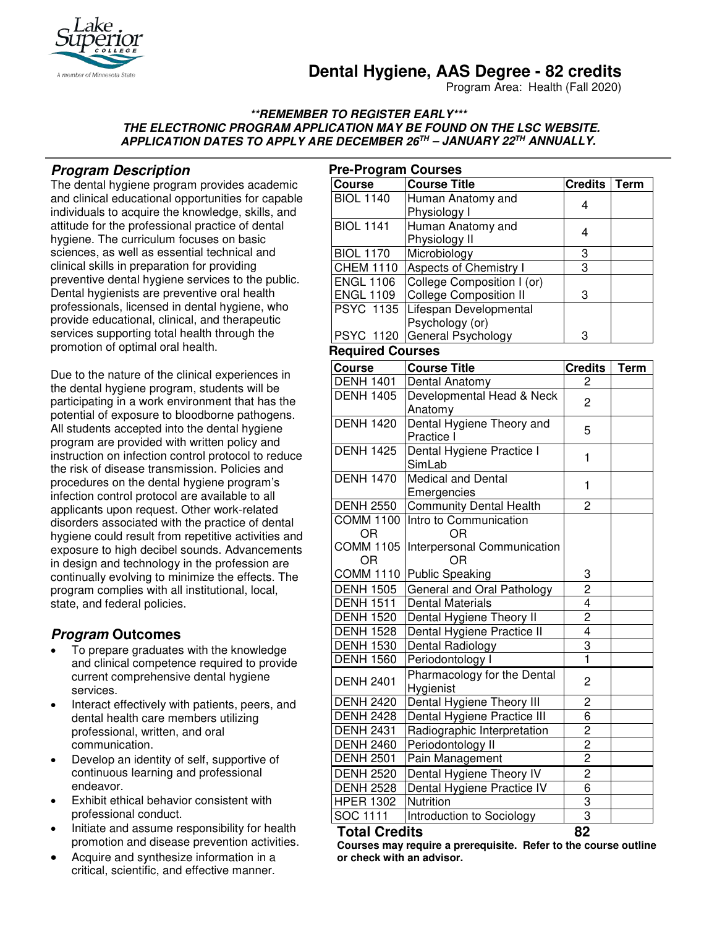

# **Dental Hygiene, AAS Degree - 82 credits**

Program Area: Health (Fall 2020)

#### **\*\*REMEMBER TO REGISTER EARLY\*\*\* THE ELECTRONIC PROGRAM APPLICATION MAY BE FOUND ON THE LSC WEBSITE. APPLICATION DATES TO APPLY ARE DECEMBER 26TH – JANUARY 22TH ANNUALLY.**

# **Program Description**

The dental hygiene program provides academic and clinical educational opportunities for capable individuals to acquire the knowledge, skills, and attitude for the professional practice of dental hygiene. The curriculum focuses on basic sciences, as well as essential technical and clinical skills in preparation for providing preventive dental hygiene services to the public. Dental hygienists are preventive oral health professionals, licensed in dental hygiene, who provide educational, clinical, and therapeutic services supporting total health through the promotion of optimal oral health.

Due to the nature of the clinical experiences in the dental hygiene program, students will be participating in a work environment that has the potential of exposure to bloodborne pathogens. All students accepted into the dental hygiene program are provided with written policy and instruction on infection control protocol to reduce the risk of disease transmission. Policies and procedures on the dental hygiene program's infection control protocol are available to all applicants upon request. Other work-related disorders associated with the practice of dental hygiene could result from repetitive activities and exposure to high decibel sounds. Advancements in design and technology in the profession are continually evolving to minimize the effects. The program complies with all institutional, local, state, and federal policies.

# **Program Outcomes**

- To prepare graduates with the knowledge and clinical competence required to provide current comprehensive dental hygiene services.
- Interact effectively with patients, peers, and dental health care members utilizing professional, written, and oral communication.
- Develop an identity of self, supportive of continuous learning and professional endeavor.
- Exhibit ethical behavior consistent with professional conduct.
- Initiate and assume responsibility for health promotion and disease prevention activities.
- Acquire and synthesize information in a critical, scientific, and effective manner.

| <b>Pre-Program Courses</b>           |                                                          |                |             |
|--------------------------------------|----------------------------------------------------------|----------------|-------------|
| Course                               | <b>Course Title</b>                                      | <b>Credits</b> | <b>Term</b> |
| <b>BIOL 1140</b>                     | Human Anatomy and<br>Physiology I                        | 4              |             |
| <b>BIOL 1141</b>                     | Human Anatomy and                                        |                |             |
|                                      | Physiology II                                            | 4              |             |
| <b>BIOL 1170</b>                     | Microbiology                                             | 3              |             |
| <b>CHEM 1110</b>                     | Aspects of Chemistry I                                   | 3              |             |
| <b>ENGL 1106</b>                     | College Composition I (or)                               |                |             |
| <b>ENGL 1109</b>                     | <b>College Composition II</b>                            | 3              |             |
| <b>PSYC 1135</b>                     | Lifespan Developmental                                   |                |             |
|                                      | Psychology (or)                                          |                |             |
| <b>PSYC 1120</b>                     | General Psychology                                       | 3              |             |
| <b>Required Courses</b>              |                                                          |                |             |
| Course                               | <b>Course Title</b>                                      | <b>Credits</b> | <b>Term</b> |
| <b>DENH 1401</b>                     | Dental Anatomy                                           | 2              |             |
| <b>DENH 1405</b>                     | Developmental Head & Neck                                | $\overline{c}$ |             |
|                                      | Anatomy                                                  |                |             |
| <b>DENH 1420</b>                     | Dental Hygiene Theory and                                | 5              |             |
|                                      | Practice I                                               |                |             |
| <b>DENH 1425</b>                     | Dental Hygiene Practice I                                | 1              |             |
|                                      | SimLab                                                   |                |             |
| <b>DENH 1470</b>                     | Medical and Dental                                       | 1              |             |
|                                      | Emergencies                                              |                |             |
| <b>DENH 2550</b><br><b>COMM 1100</b> | <b>Community Dental Health</b><br>Intro to Communication | 2              |             |
| OR                                   | OR                                                       |                |             |
| <b>COMM 1105</b>                     | Interpersonal Communication                              |                |             |
| <b>OR</b>                            | OR                                                       |                |             |
| <b>COMM 1110</b>                     | Public Speaking                                          | 3              |             |
| <b>DENH 1505</b>                     | General and Oral Pathology                               |                |             |
| <b>DENH 1511</b>                     | <b>Dental Materials</b>                                  | $\frac{2}{4}$  |             |
| <b>DENH 1520</b>                     | Dental Hygiene Theory II                                 |                |             |
| <b>DENH 1528</b>                     | Dental Hygiene Practice II                               | $\frac{2}{4}$  |             |
| <b>DENH 1530</b>                     | Dental Radiology                                         | $\overline{3}$ |             |
| <b>DENH 1560</b>                     | Periodontology I                                         | $\overline{1}$ |             |
|                                      | Pharmacology for the Dental                              | $\overline{c}$ |             |
| <b>DENH 2401</b>                     | Hygienist                                                |                |             |
| <b>DENH 2420</b>                     | Dental Hygiene Theory III                                | 2              |             |
| <b>DENH 2428</b>                     | Dental Hygiene Practice III                              | 6              |             |
| <b>DENH 2431</b>                     | Radiographic Interpretation                              | 2              |             |
| <b>DENH 2460</b>                     | Periodontology II                                        | 2              |             |
| <b>DENH 2501</b>                     | Pain Management                                          | 2              |             |
| <b>DENH 2520</b>                     | Dental Hygiene Theory IV                                 | $\overline{c}$ |             |
| <b>DENH 2528</b>                     | Dental Hygiene Practice IV                               | 6              |             |
| <b>HPER 1302</b>                     | Nutrition                                                | 3              |             |
| SOC 1111                             | Introduction to Sociology                                | 3              |             |

#### **Total Credits 82**

**Courses may require a prerequisite. Refer to the course outline or check with an advisor.**